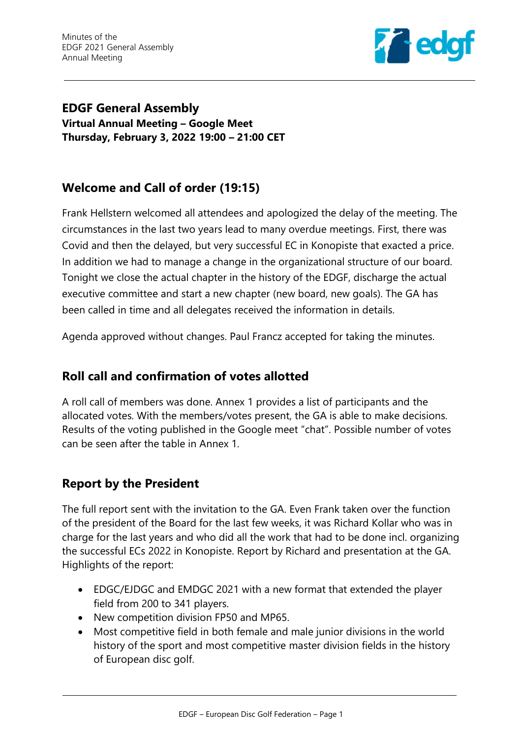

**EDGF General Assembly Virtual Annual Meeting – Google Meet Thursday, February 3, 2022 19:00 – 21:00 CET**

# **Welcome and Call of order (19:15)**

Frank Hellstern welcomed all attendees and apologized the delay of the meeting. The circumstances in the last two years lead to many overdue meetings. First, there was Covid and then the delayed, but very successful EC in Konopiste that exacted a price. In addition we had to manage a change in the organizational structure of our board. Tonight we close the actual chapter in the history of the EDGF, discharge the actual executive committee and start a new chapter (new board, new goals). The GA has been called in time and all delegates received the information in details.

Agenda approved without changes. Paul Francz accepted for taking the minutes.

# **Roll call and confirmation of votes allotted**

A roll call of members was done. Annex 1 provides a list of participants and the allocated votes. With the members/votes present, the GA is able to make decisions. Results of the voting published in the Google meet "chat". Possible number of votes can be seen after the table in Annex 1.

# **Report by the President**

The full report sent with the invitation to the GA. Even Frank taken over the function of the president of the Board for the last few weeks, it was Richard Kollar who was in charge for the last years and who did all the work that had to be done incl. organizing the successful ECs 2022 in Konopiste. Report by Richard and presentation at the GA. Highlights of the report:

- EDGC/EJDGC and EMDGC 2021 with a new format that extended the player field from 200 to 341 players.
- New competition division FP50 and MP65.
- Most competitive field in both female and male junior divisions in the world history of the sport and most competitive master division fields in the history of European disc golf.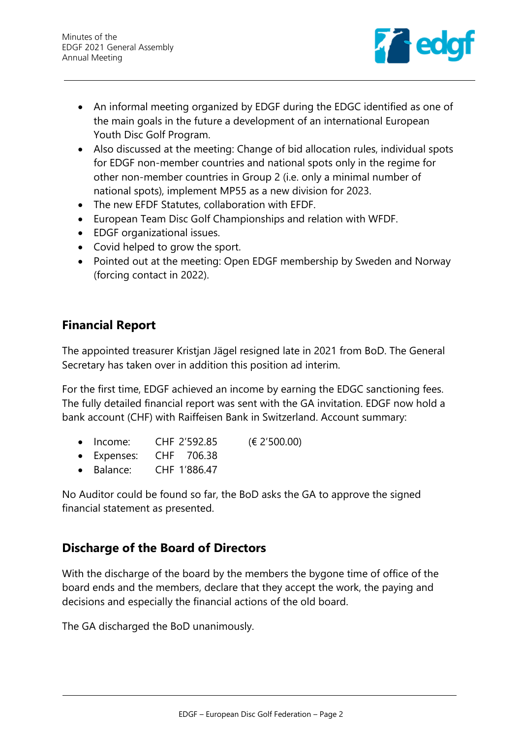

- An informal meeting organized by EDGF during the EDGC identified as one of the main goals in the future a development of an international European Youth Disc Golf Program.
- Also discussed at the meeting: Change of bid allocation rules, individual spots for EDGF non-member countries and national spots only in the regime for other non-member countries in Group 2 (i.e. only a minimal number of national spots), implement MP55 as a new division for 2023.
- The new EFDF Statutes, collaboration with EFDF.
- European Team Disc Golf Championships and relation with WFDF.
- EDGF organizational issues.
- Covid helped to grow the sport.
- Pointed out at the meeting: Open EDGF membership by Sweden and Norway (forcing contact in 2022).

# **Financial Report**

The appointed treasurer Kristjan Jägel resigned late in 2021 from BoD. The General Secretary has taken over in addition this position ad interim.

For the first time, EDGF achieved an income by earning the EDGC sanctioning fees. The fully detailed financial report was sent with the GA invitation. EDGF now hold a bank account (CHF) with Raiffeisen Bank in Switzerland. Account summary:

- Income: CHF 2'592.85 (€ 2'500.00)
- Expenses: CHF 706.38
- Balance: CHF 1'886.47

No Auditor could be found so far, the BoD asks the GA to approve the signed financial statement as presented.

## **Discharge of the Board of Directors**

With the discharge of the board by the members the bygone time of office of the board ends and the members, declare that they accept the work, the paying and decisions and especially the financial actions of the old board.

The GA discharged the BoD unanimously.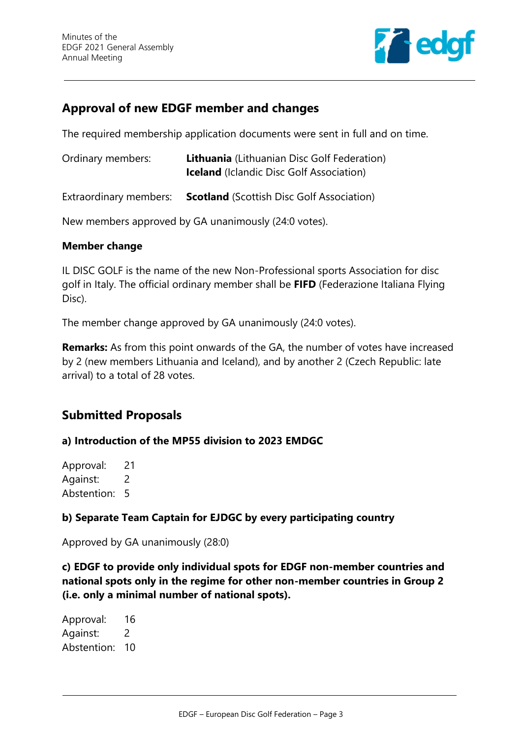

## **Approval of new EDGF member and changes**

The required membership application documents were sent in full and on time.

| Ordinary members: | <b>Lithuania</b> (Lithuanian Disc Golf Federation) |
|-------------------|----------------------------------------------------|
|                   | <b>Iceland</b> (Iclandic Disc Golf Association)    |
|                   |                                                    |

Extraordinary members: **Scotland** (Scottish Disc Golf Association)

New members approved by GA unanimously (24:0 votes).

#### **Member change**

IL DISC GOLF is the name of the new Non-Professional sports Association for disc golf in Italy. The official ordinary member shall be **FIFD** (Federazione Italiana Flying Disc).

The member change approved by GA unanimously (24:0 votes).

**Remarks:** As from this point onwards of the GA, the number of votes have increased by 2 (new members Lithuania and Iceland), and by another 2 (Czech Republic: late arrival) to a total of 28 votes.

## **Submitted Proposals**

#### **a) Introduction of the MP55 division to 2023 EMDGC**

Approval: 21 Against: 2 Abstention: 5

#### **b) Separate Team Captain for EJDGC by every participating country**

Approved by GA unanimously (28:0)

**c) EDGF to provide only individual spots for EDGF non-member countries and national spots only in the regime for other non-member countries in Group 2 (i.e. only a minimal number of national spots).**

Approval: 16 Against: 2 Abstention: 10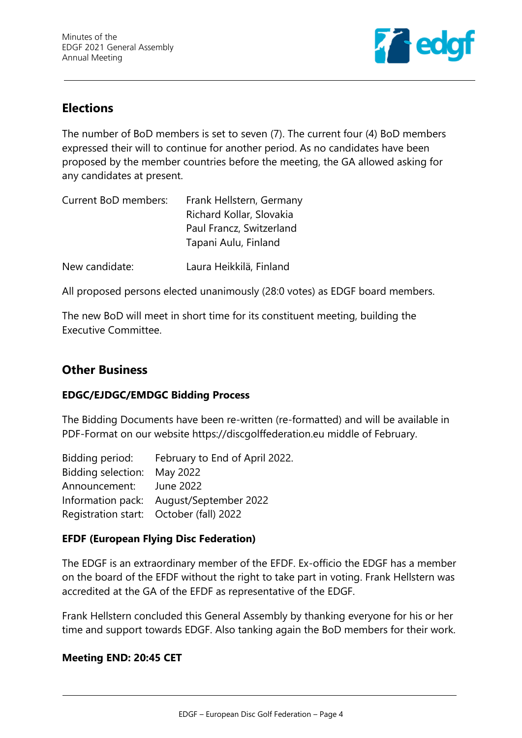

# **Elections**

The number of BoD members is set to seven (7). The current four (4) BoD members expressed their will to continue for another period. As no candidates have been proposed by the member countries before the meeting, the GA allowed asking for any candidates at present.

| Current BoD members: | Frank Hellstern, Germany |  |  |
|----------------------|--------------------------|--|--|
|                      | Richard Kollar, Slovakia |  |  |
|                      | Paul Francz, Switzerland |  |  |
|                      | Tapani Aulu, Finland     |  |  |
|                      |                          |  |  |

New candidate: Laura Heikkilä, Finland

All proposed persons elected unanimously (28:0 votes) as EDGF board members.

The new BoD will meet in short time for its constituent meeting, building the Executive Committee.

## **Other Business**

#### **EDGC/EJDGC/EMDGC Bidding Process**

The Bidding Documents have been re-written (re-formatted) and will be available in PDF-Format on our website https://discgolffederation.eu middle of February.

| Bidding period: February to End of April 2022. |
|------------------------------------------------|
| Bidding selection: May 2022                    |
| Announcement: June 2022                        |
| Information pack: August/September 2022        |
| Registration start: October (fall) 2022        |
|                                                |

#### **EFDF (European Flying Disc Federation)**

The EDGF is an extraordinary member of the EFDF. Ex-officio the EDGF has a member on the board of the EFDF without the right to take part in voting. Frank Hellstern was accredited at the GA of the EFDF as representative of the EDGF.

Frank Hellstern concluded this General Assembly by thanking everyone for his or her time and support towards EDGF. Also tanking again the BoD members for their work.

#### **Meeting END: 20:45 CET**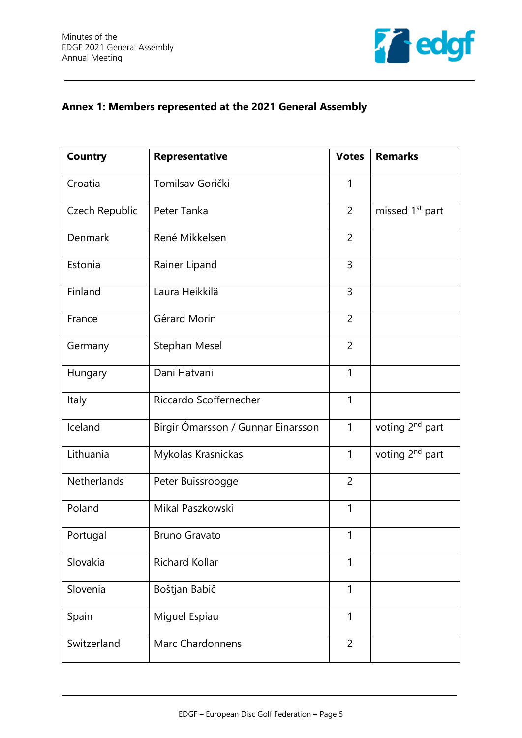

## **Annex 1: Members represented at the 2021 General Assembly**

| <b>Country</b> | Representative                     | <b>Votes</b>   | <b>Remarks</b>              |
|----------------|------------------------------------|----------------|-----------------------------|
| Croatia        | Tomilsav Gorički                   | 1              |                             |
| Czech Republic | Peter Tanka                        | $\overline{2}$ | missed 1 <sup>st</sup> part |
| <b>Denmark</b> | René Mikkelsen                     | $\overline{2}$ |                             |
| Estonia        | Rainer Lipand                      | 3              |                             |
| Finland        | Laura Heikkilä                     | 3              |                             |
| France         | Gérard Morin                       | $\overline{2}$ |                             |
| Germany        | Stephan Mesel                      | $\overline{2}$ |                             |
| Hungary        | Dani Hatvani                       | 1              |                             |
| Italy          | Riccardo Scoffernecher             | 1              |                             |
| Iceland        | Birgir Ómarsson / Gunnar Einarsson | $\mathbf{1}$   | voting 2 <sup>nd</sup> part |
| Lithuania      | Mykolas Krasnickas                 | $\mathbf{1}$   | voting 2 <sup>nd</sup> part |
| Netherlands    | Peter Buissroogge                  | $\overline{2}$ |                             |
| Poland         | Mikal Paszkowski                   | 1              |                             |
| Portugal       | <b>Bruno Gravato</b>               | 1              |                             |
| Slovakia       | Richard Kollar                     | 1              |                             |
| Slovenia       | Boštjan Babič                      | 1              |                             |
| Spain          | Miguel Espiau                      | 1              |                             |
| Switzerland    | <b>Marc Chardonnens</b>            | $\overline{2}$ |                             |